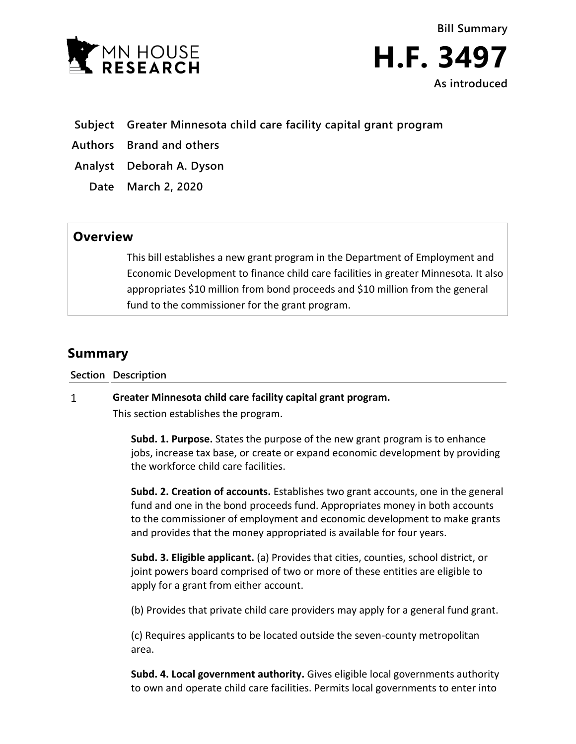

**Bill Summary H.F. 3497 As introduced**

- **Subject Greater Minnesota child care facility capital grant program**
- **Authors Brand and others**
- **Analyst Deborah A. Dyson**
	- **Date March 2, 2020**

## **Overview**

This bill establishes a new grant program in the Department of Employment and Economic Development to finance child care facilities in greater Minnesota. It also appropriates \$10 million from bond proceeds and \$10 million from the general fund to the commissioner for the grant program.

# **Summary**

**Section Description**

#### $\mathbf{1}$ **Greater Minnesota child care facility capital grant program.**

This section establishes the program.

**Subd. 1. Purpose.** States the purpose of the new grant program is to enhance jobs, increase tax base, or create or expand economic development by providing the workforce child care facilities.

**Subd. 2. Creation of accounts.** Establishes two grant accounts, one in the general fund and one in the bond proceeds fund. Appropriates money in both accounts to the commissioner of employment and economic development to make grants and provides that the money appropriated is available for four years.

**Subd. 3. Eligible applicant.** (a) Provides that cities, counties, school district, or joint powers board comprised of two or more of these entities are eligible to apply for a grant from either account.

(b) Provides that private child care providers may apply for a general fund grant.

(c) Requires applicants to be located outside the seven-county metropolitan area.

**Subd. 4. Local government authority.** Gives eligible local governments authority to own and operate child care facilities. Permits local governments to enter into